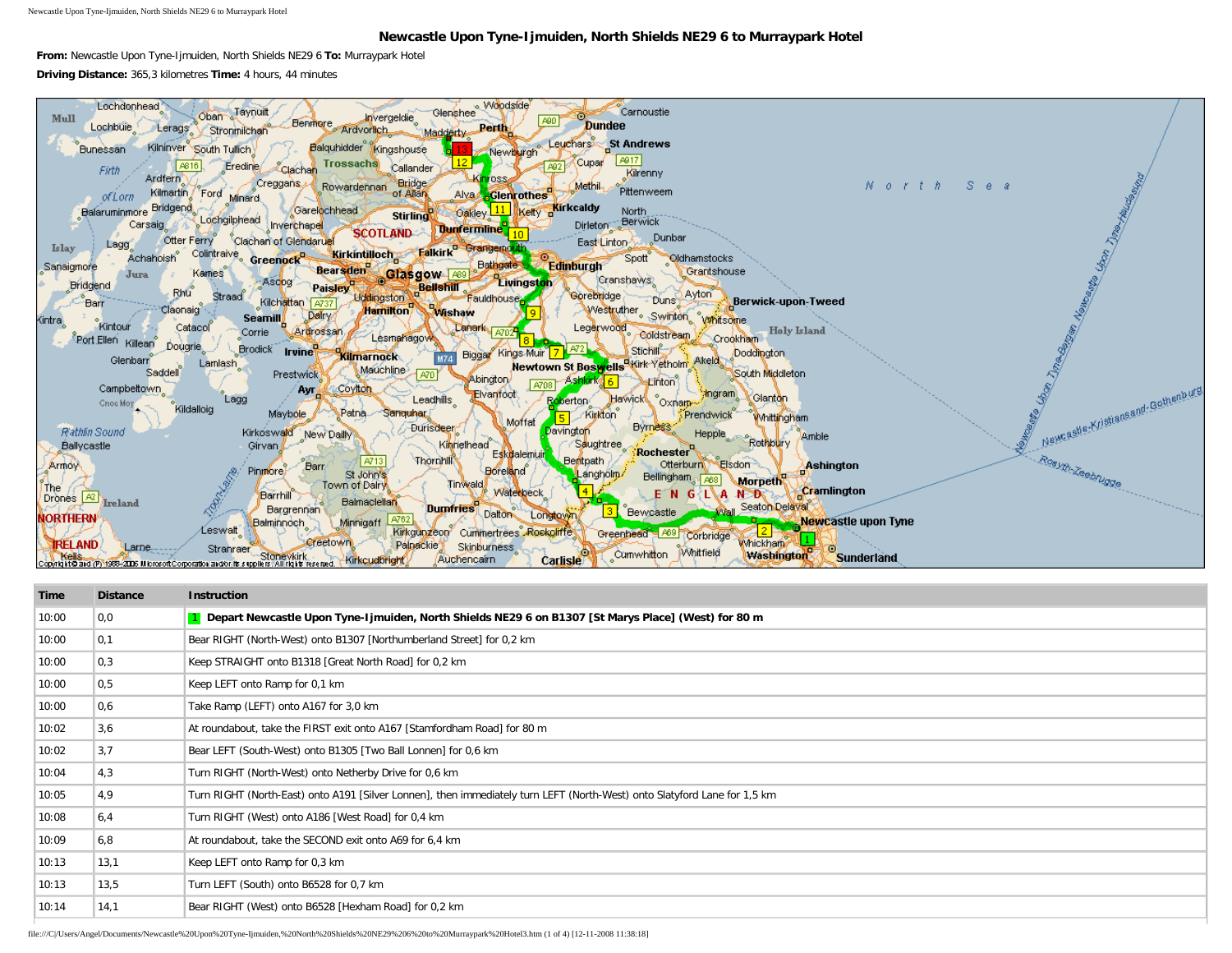Newcastle Upon Tyne-Ijmuiden, North Shields NE29 6 to Murraypark Hotel

## **Newcastle Upon Tyne-Ijmuiden, North Shields NE29 6 to Murraypark Hotel**

**From:** Newcastle Upon Tyne-Ijmuiden, North Shields NE29 6 **To:** Murraypark Hotel **Driving Distance:** 365,3 kilometres **Time:** 4 hours, 44 minutes



| Time  | <b>Distance</b> | <b>Instruction</b>                                                                                                        |
|-------|-----------------|---------------------------------------------------------------------------------------------------------------------------|
| 10:00 | 0,0             | 1 Depart Newcastle Upon Tyne-Ijmuiden, North Shields NE29 6 on B1307 [St Marys Place] (West) for 80 m                     |
| 10:00 | 0,1             | Bear RIGHT (North-West) onto B1307 [Northumberland Street] for 0,2 km                                                     |
| 10:00 | 0,3             | Keep STRAIGHT onto B1318 [Great North Road] for 0,2 km                                                                    |
| 10:00 | 0, 5            | Keep LEFT onto Ramp for 0,1 km                                                                                            |
| 10:00 | 0,6             | Take Ramp (LEFT) onto A167 for 3,0 km                                                                                     |
| 10:02 | 3,6             | At roundabout, take the FIRST exit onto A167 [Stamfordham Road] for 80 m                                                  |
| 10:02 | 3,7             | Bear LEFT (South-West) onto B1305 [Two Ball Lonnen] for 0,6 km                                                            |
| 10:04 | 4,3             | Turn RIGHT (North-West) onto Netherby Drive for 0,6 km                                                                    |
| 10:05 | 4,9             | Turn RIGHT (North-East) onto A191 [Silver Lonnen], then immediately turn LEFT (North-West) onto Slatyford Lane for 1,5 km |
| 10:08 | 6,4             | Turn RIGHT (West) onto A186 [West Road] for 0,4 km                                                                        |
| 10:09 | 6,8             | At roundabout, take the SECOND exit onto A69 for 6,4 km                                                                   |
| 10:13 | 13,1            | Keep LEFT onto Ramp for 0,3 km                                                                                            |
| 10:13 | 13,5            | Turn LEFT (South) onto B6528 for 0,7 km                                                                                   |
| 10:14 | 14,1            | Bear RIGHT (West) onto B6528 [Hexham Road] for 0,2 km                                                                     |

file:///C|/Users/Angel/Documents/Newcastle%20Upon%20Tyne-Ijmuiden,%20North%20Shields%20NE29%206%20to%20Murraypark%20Hotel3.htm (1 of 4) [12-11-2008 11:38:18]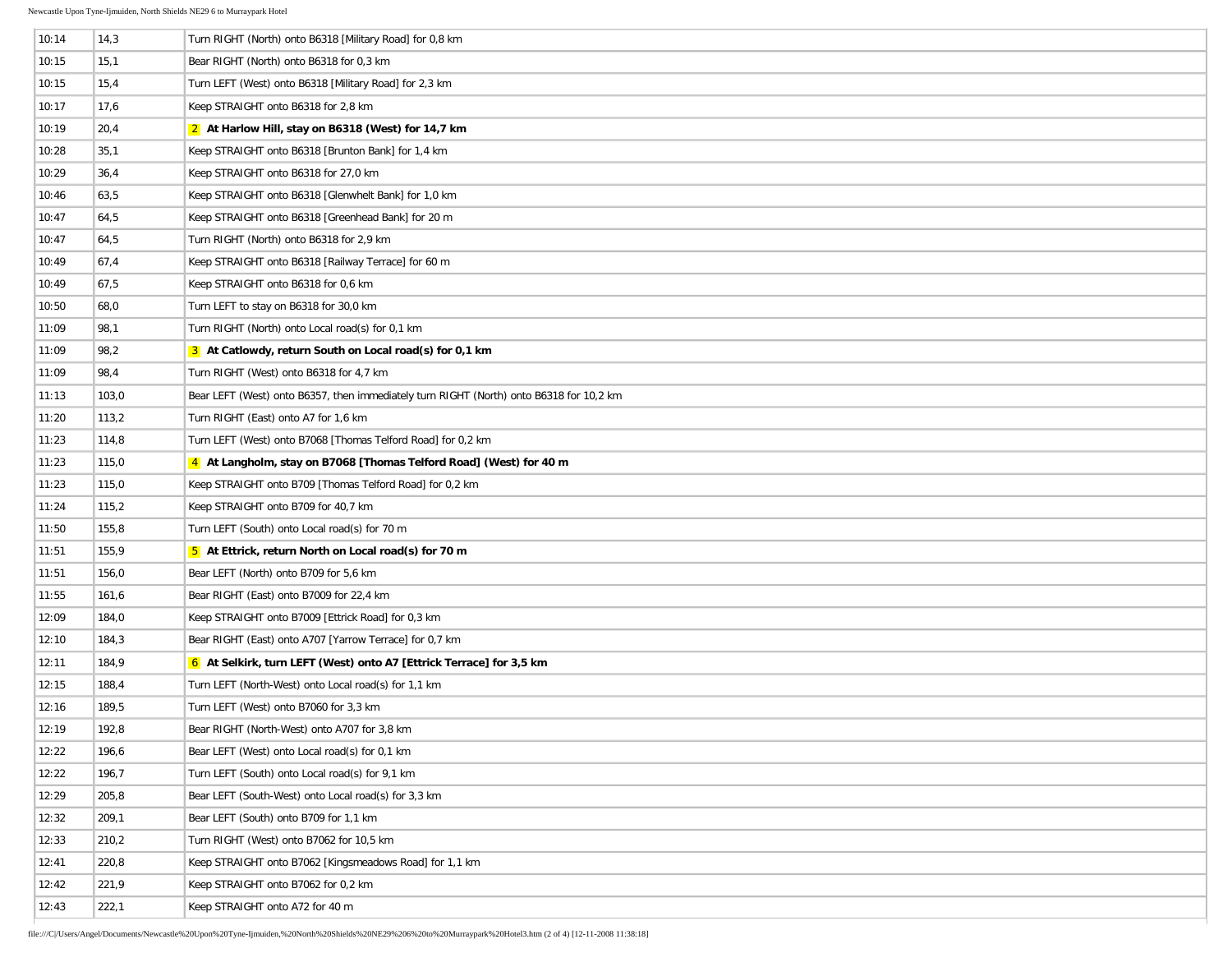| 10:14 | 14,3  | Turn RIGHT (North) onto B6318 [Military Road] for 0,8 km                                |
|-------|-------|-----------------------------------------------------------------------------------------|
| 10:15 | 15,1  | Bear RIGHT (North) onto B6318 for 0,3 km                                                |
| 10:15 | 15,4  | Turn LEFT (West) onto B6318 [Military Road] for 2,3 km                                  |
| 10:17 | 17,6  | Keep STRAIGHT onto B6318 for 2,8 km                                                     |
| 10:19 | 20,4  | 2 At Harlow Hill, stay on B6318 (West) for 14,7 km                                      |
| 10:28 | 35,1  | Keep STRAIGHT onto B6318 [Brunton Bank] for 1,4 km                                      |
| 10:29 | 36,4  | Keep STRAIGHT onto B6318 for 27,0 km                                                    |
| 10:46 | 63,5  | Keep STRAIGHT onto B6318 [Glenwhelt Bank] for 1,0 km                                    |
| 10:47 | 64,5  | Keep STRAIGHT onto B6318 [Greenhead Bank] for 20 m                                      |
| 10:47 | 64,5  | Turn RIGHT (North) onto B6318 for 2,9 km                                                |
| 10:49 | 67,4  | Keep STRAIGHT onto B6318 [Railway Terrace] for 60 m                                     |
| 10:49 | 67,5  | Keep STRAIGHT onto B6318 for 0,6 km                                                     |
| 10:50 | 68,0  | Turn LEFT to stay on B6318 for 30,0 km                                                  |
| 11:09 | 98,1  | Turn RIGHT (North) onto Local road(s) for 0,1 km                                        |
| 11:09 | 98,2  | 3 At Catlowdy, return South on Local road(s) for 0,1 km                                 |
| 11:09 | 98,4  | Turn RIGHT (West) onto B6318 for 4,7 km                                                 |
| 11:13 | 103,0 | Bear LEFT (West) onto B6357, then immediately turn RIGHT (North) onto B6318 for 10,2 km |
| 11:20 | 113,2 | Turn RIGHT (East) onto A7 for 1,6 km                                                    |
| 11:23 | 114,8 | Turn LEFT (West) onto B7068 [Thomas Telford Road] for 0,2 km                            |
| 11:23 | 115,0 | 4 At Langholm, stay on B7068 [Thomas Telford Road] (West) for 40 m                      |
| 11:23 | 115,0 | Keep STRAIGHT onto B709 [Thomas Telford Road] for 0,2 km                                |
| 11:24 | 115,2 | Keep STRAIGHT onto B709 for 40,7 km                                                     |
| 11:50 | 155,8 | Turn LEFT (South) onto Local road(s) for 70 m                                           |
| 11:51 | 155,9 | 5 At Ettrick, return North on Local road(s) for 70 m                                    |
| 11:51 | 156,0 | Bear LEFT (North) onto B709 for 5,6 km                                                  |
| 11:55 | 161,6 | Bear RIGHT (East) onto B7009 for 22,4 km                                                |
| 12:09 | 184,0 | Keep STRAIGHT onto B7009 [Ettrick Road] for 0,3 km                                      |
| 12:10 | 184,3 | Bear RIGHT (East) onto A707 [Yarrow Terrace] for 0,7 km                                 |
| 12:11 | 184,9 | 6 At Selkirk, turn LEFT (West) onto A7 [Ettrick Terrace] for 3,5 km                     |
| 12:15 | 188,4 | Turn LEFT (North-West) onto Local road(s) for 1,1 km                                    |
| 12:16 | 189,5 | Turn LEFT (West) onto B7060 for 3,3 km                                                  |
| 12:19 | 192,8 | Bear RIGHT (North-West) onto A707 for 3,8 km                                            |
| 12:22 | 196,6 | Bear LEFT (West) onto Local road(s) for 0,1 km                                          |
| 12:22 | 196,7 | Turn LEFT (South) onto Local road(s) for 9,1 km                                         |
| 12:29 | 205,8 | Bear LEFT (South-West) onto Local road(s) for 3,3 km                                    |
| 12:32 | 209,1 | Bear LEFT (South) onto B709 for 1,1 km                                                  |
| 12:33 | 210,2 | Turn RIGHT (West) onto B7062 for 10,5 km                                                |
| 12:41 | 220,8 | Keep STRAIGHT onto B7062 [Kingsmeadows Road] for 1,1 km                                 |
| 12:42 | 221,9 | Keep STRAIGHT onto B7062 for 0,2 km                                                     |
| 12:43 | 222,1 | Keep STRAIGHT onto A72 for 40 m                                                         |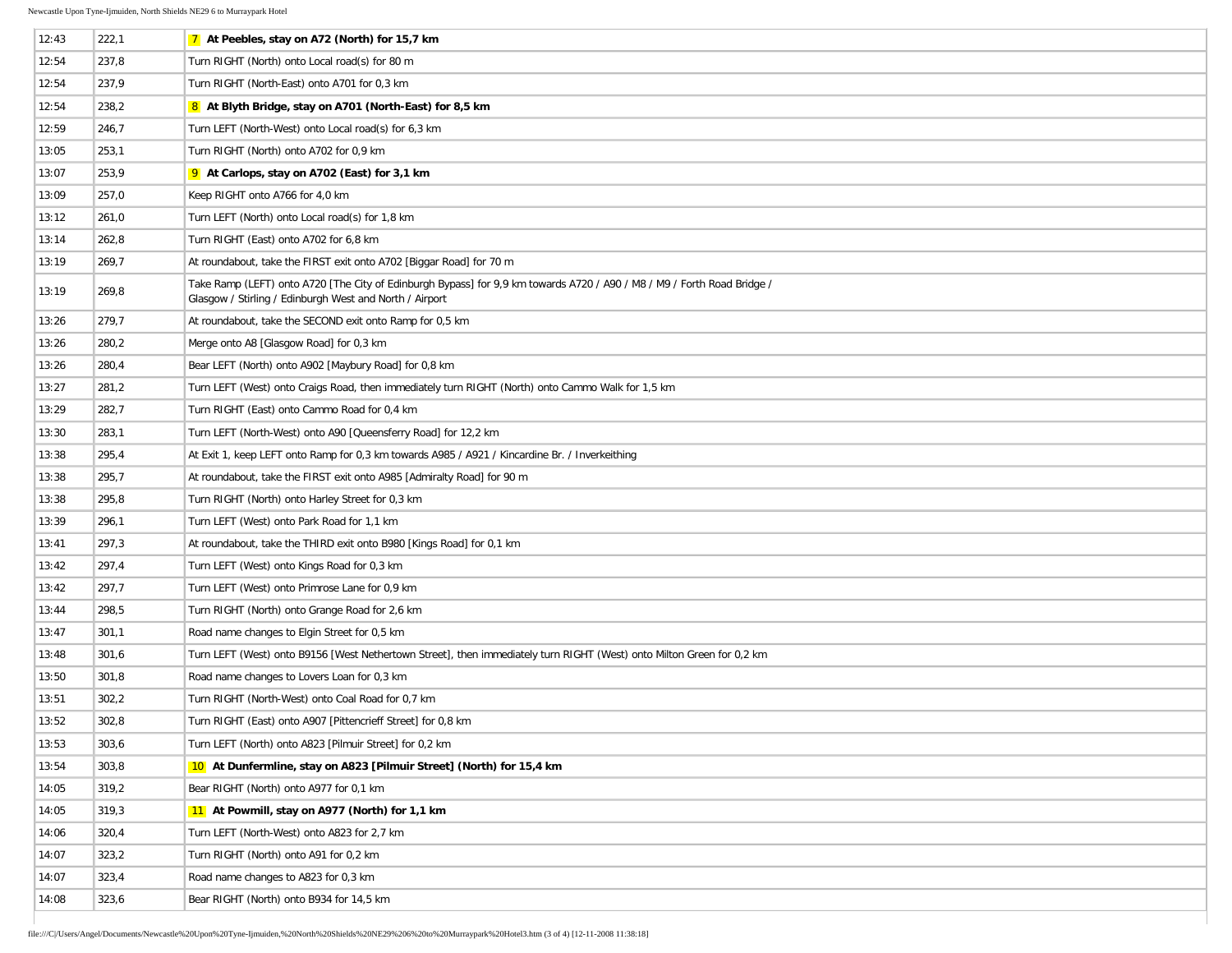| 12:43 | 222,1 | 7 At Peebles, stay on A72 (North) for 15,7 km                                                                                                                                      |
|-------|-------|------------------------------------------------------------------------------------------------------------------------------------------------------------------------------------|
| 12:54 | 237,8 | Turn RIGHT (North) onto Local road(s) for 80 m                                                                                                                                     |
| 12:54 | 237,9 | Turn RIGHT (North-East) onto A701 for 0,3 km                                                                                                                                       |
| 12:54 | 238,2 | 8 At Blyth Bridge, stay on A701 (North-East) for 8,5 km                                                                                                                            |
| 12:59 | 246,7 | Turn LEFT (North-West) onto Local road(s) for 6,3 km                                                                                                                               |
| 13:05 | 253,1 | Turn RIGHT (North) onto A702 for 0,9 km                                                                                                                                            |
| 13:07 | 253,9 | 9 At Carlops, stay on A702 (East) for 3,1 km                                                                                                                                       |
| 13:09 | 257,0 | Keep RIGHT onto A766 for 4,0 km                                                                                                                                                    |
| 13:12 | 261,0 | Turn LEFT (North) onto Local road(s) for 1,8 km                                                                                                                                    |
| 13:14 | 262,8 | Turn RIGHT (East) onto A702 for 6,8 km                                                                                                                                             |
| 13:19 | 269,7 | At roundabout, take the FIRST exit onto A702 [Biggar Road] for 70 m                                                                                                                |
| 13:19 | 269,8 | Take Ramp (LEFT) onto A720 [The City of Edinburgh Bypass] for 9,9 km towards A720 / A90 / M8 / M9 / Forth Road Bridge /<br>Glasgow / Stirling / Edinburgh West and North / Airport |
| 13:26 | 279,7 | At roundabout, take the SECOND exit onto Ramp for 0,5 km                                                                                                                           |
| 13:26 | 280,2 | Merge onto A8 [Glasgow Road] for 0,3 km                                                                                                                                            |
| 13:26 | 280,4 | Bear LEFT (North) onto A902 [Maybury Road] for 0,8 km                                                                                                                              |
| 13:27 | 281,2 | Turn LEFT (West) onto Craigs Road, then immediately turn RIGHT (North) onto Cammo Walk for 1,5 km                                                                                  |
| 13:29 | 282,7 | Turn RIGHT (East) onto Cammo Road for 0,4 km                                                                                                                                       |
| 13:30 | 283,1 | Turn LEFT (North-West) onto A90 [Queensferry Road] for 12,2 km                                                                                                                     |
| 13:38 | 295,4 | At Exit 1, keep LEFT onto Ramp for 0,3 km towards A985 / A921 / Kincardine Br. / Inverkeithing                                                                                     |
| 13:38 | 295,7 | At roundabout, take the FIRST exit onto A985 [Admiralty Road] for 90 m                                                                                                             |
| 13:38 | 295,8 | Turn RIGHT (North) onto Harley Street for 0,3 km                                                                                                                                   |
| 13:39 | 296,1 | Turn LEFT (West) onto Park Road for 1,1 km                                                                                                                                         |
| 13:41 | 297,3 | At roundabout, take the THIRD exit onto B980 [Kings Road] for 0,1 km                                                                                                               |
| 13:42 | 297,4 | Turn LEFT (West) onto Kings Road for 0,3 km                                                                                                                                        |
| 13:42 | 297,7 | Turn LEFT (West) onto Primrose Lane for 0,9 km                                                                                                                                     |
| 13:44 | 298,5 | Turn RIGHT (North) onto Grange Road for 2,6 km                                                                                                                                     |
| 13:47 | 301,1 | Road name changes to Elgin Street for 0,5 km                                                                                                                                       |
| 13:48 | 301,6 | Turn LEFT (West) onto B9156 [West Nethertown Street], then immediately turn RIGHT (West) onto Milton Green for 0,2 km                                                              |
| 13:50 | 301,8 | Road name changes to Lovers Loan for 0,3 km                                                                                                                                        |
| 13:51 | 302,2 | Turn RIGHT (North-West) onto Coal Road for 0,7 km                                                                                                                                  |
| 13:52 | 302,8 | Turn RIGHT (East) onto A907 [Pittencrieff Street] for 0,8 km                                                                                                                       |
| 13:53 | 303,6 | Turn LEFT (North) onto A823 [Pilmuir Street] for 0,2 km                                                                                                                            |
| 13:54 | 303,8 | 10 At Dunfermline, stay on A823 [Pilmuir Street] (North) for 15,4 km                                                                                                               |
| 14:05 | 319,2 | Bear RIGHT (North) onto A977 for 0.1 km                                                                                                                                            |
| 14:05 | 319,3 | 11 At Powmill, stay on A977 (North) for 1,1 km                                                                                                                                     |
| 14:06 | 320,4 | Turn LEFT (North-West) onto A823 for 2,7 km                                                                                                                                        |
| 14:07 | 323,2 | Turn RIGHT (North) onto A91 for 0,2 km                                                                                                                                             |
| 14:07 | 323,4 | Road name changes to A823 for 0,3 km                                                                                                                                               |
| 14:08 | 323,6 | Bear RIGHT (North) onto B934 for 14,5 km                                                                                                                                           |
|       |       |                                                                                                                                                                                    |